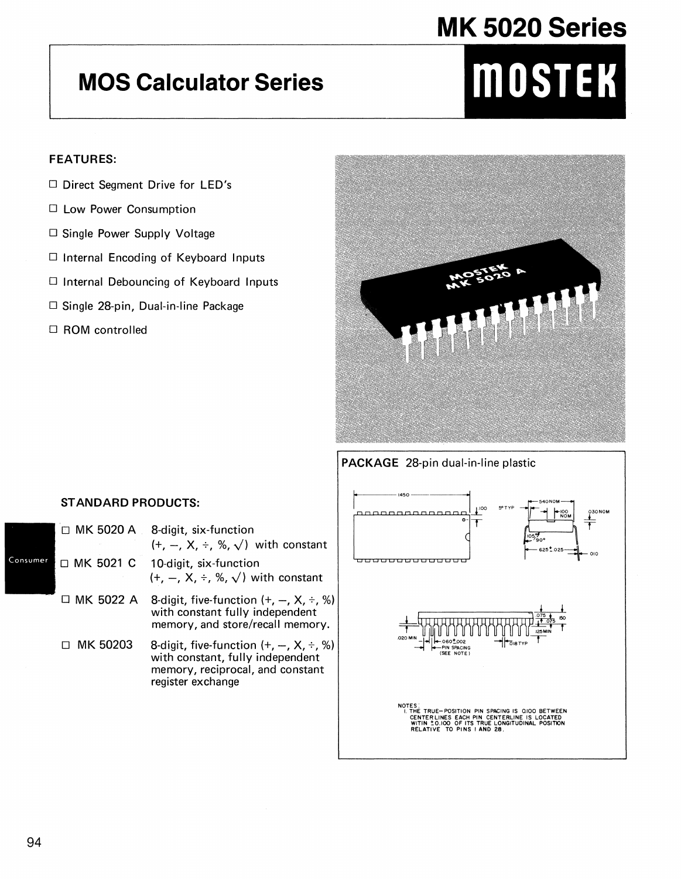## MK 5020 Series

### **MOS Calculator Series**

# MOSTEK

#### **FEATURES:**

- D Direct Segment Drive for LED's
- □ Low Power Consumption
- □ Single Power Supply Voltage
- □ Internal Encoding of Keyboard Inputs
- □ Internal Debouncing of Keyboard Inputs
- □ Single 28-pin, Dual-in-line Package
- □ ROM controlled



#### PACKAGE 28-pin dual-in-line plastic

#### **STANDARD PRODUCTS:**

|     | □ MK 5020 A      | 8-digit, six-function<br>$(+, -, X, \div, \%, \sqrt{ } )$ with constant                                                                  |
|-----|------------------|------------------------------------------------------------------------------------------------------------------------------------------|
| ۱er | □ MK 5021 C      | 10-digit, six-function<br>$(+, -, X, \div, \%, \sqrt{})$ with constant                                                                   |
|     | $\Box$ MK 5022 A | 8-digit, five-function $(+, -, X, \div, \%$<br>with constant fully independent<br>memory, and store/recall memory.                       |
|     | □ MK 50203       | 8-digit, five-function $(+, -, X, \div, \%$<br>with constant, fully independent<br>memory, reciprocal, and constant<br>register exchange |



Consum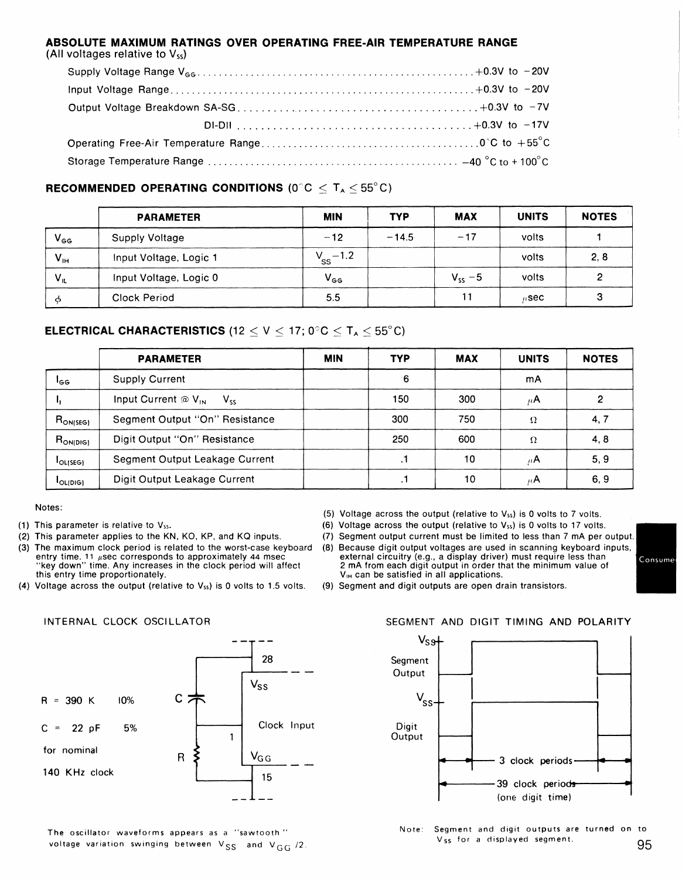#### **ABSOLUTE MAXIMUM RATINGS OVER OPERATING FREE-AIR TEMPERATURE RANGE**  (All voltages relative to  $V_{ss}$ )

#### **RECOMMENDED OPERATING CONDITIONS (0<sup>o</sup>C**  $\leq T_A \leq 55^{\circ}$ **C)**

|                 | <b>PARAMETER</b>       | <b>MIN</b>     | <b>TYP</b> | <b>MAX</b>  | <b>UNITS</b> | <b>NOTES</b> |
|-----------------|------------------------|----------------|------------|-------------|--------------|--------------|
| $V_{GG}$        | Supply Voltage         | $-12$          | $-14.5$    | $-17$       | volts        |              |
| $V_{\text{IH}}$ | Input Voltage, Logic 1 | $V_{SS}$ – 1.2 |            |             | volts        | 2, 8         |
| $V_{IL}$        | Input Voltage, Logic 0 | $V_{GG}$       |            | $V_{ss}$ -5 | volts        |              |
| - ന             | Clock Period           | 5.5            |            | 11          | $n$ sec      |              |

#### **ELECTRICAL CHARACTERISTICS** (12  $\leq$  V  $\leq$  17; 0°C  $\leq$  T<sub>A</sub>  $\leq$  55°C)

|                 | <b>PARAMETER</b>                                   | <b>MIN</b> | <b>TYP</b> | <b>MAX</b> | <b>UNITS</b> | <b>NOTES</b> |
|-----------------|----------------------------------------------------|------------|------------|------------|--------------|--------------|
| l <sub>GG</sub> | <b>Supply Current</b>                              |            | 16         |            | mA           |              |
|                 | Input Current $\omega$ V <sub>IN</sub><br>$V_{ss}$ |            | 150        | 300        | $\mu$ A      |              |
| $R_{ON(SEG)}$   | Segment Output "On" Resistance                     |            | 300        | 750        | $\Omega$     | 4, 7         |
| $R_{ON[DIS]}$   | Digit Output "On" Resistance                       |            | 250        | 600        | Ω            | 4, 8         |
| <b>JOLISEGI</b> | Segment Output Leakage Current                     |            | . .        | 10         | $\mu$ A      | 5, 9         |
| <b>LOLIDIGI</b> | Digit Output Leakage Current                       |            | . .        | 10         | $\mu$ A      | 6, 9         |

#### Notes:

- (1) This parameter is relative to Vss.
- (2) This parameter applies to the KN, KO, KP, and KQ inputs.

INTERNAL CLOCK OSCILLATOR

- (3) The maximum clock period is related to the worst-case keyboard entry time. 11 µsec corresponds to approximately 44 msec "key down" time. Any increases in the clock period will affect this entry time proportionately.
- (4) Voltage across the output (relative to  $V_{ss}$ ) is 0 volts to 1.5 volts.
- (5) Voltage across the output (relative to  $V_{ss}$ ) is 0 volts to 7 volts.
- (6) Voltage across the output (relative to  $V_{ss}$ ) is 0 volts to 17 volts.
- (7) Segment output current must be limited to less than 7 mA per output.
- (B) Because digit output voltages are used in scanning keyboard inputs, external circuitry (e.g., a display driver) must require less than 2 mA from each digit output in order that the minimum value of V<sub>IH</sub> can be satisfied in all applications.

(9) Segment and digit outputs are open drain transistors.

## 28 Vss  $R = 390 K$  10% C  $C = 22$  pF 5%  $\begin{array}{|c|c|c|c|c|c|c|c|} \hline & & & & & \text{Clock Input} \ \hline & 1 & & & \end{array}$ for nominal  $R \nmid N_{GG}$ 140 KHz clock 15

The oscillator waveforms appears as a "sawtooth " voltage variation swinging between  $V_{SS}$  and  $V_{GG}$  /2.

#### SEGMENT AND DIGIT TIMING AND POLARITY



Note: Segment and digit outputs are turned on to Vss for a displayed segment. 95

Consume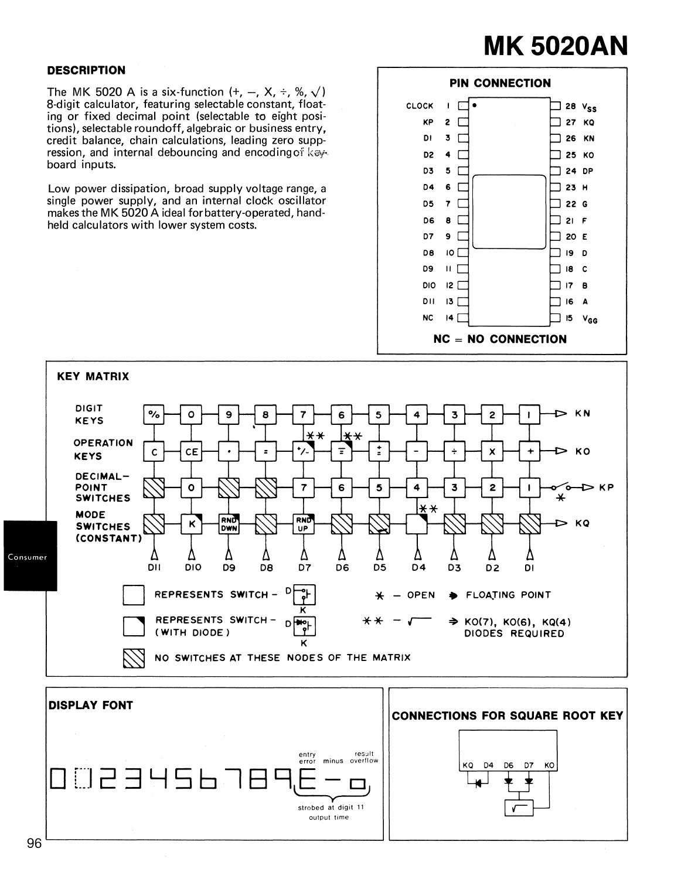# **MK 5020AN**

#### **DESCRIPTION**

The MK 5020 A is a six-function  $(+, -, X, \div, \%, \sqrt{})$ 8-digit calculator, featuring selectable constant, floating or fixed decimal point (selectable to eight positions), selectable roundoff, algebraic or business entry, credit balance, chain calculations, leading zero suppression, and internal debouncing and encoding of keyboard inputs.

Low power dissipation, broad supply voltage range, a single power supply, and an internal clock oscillator makes the MK 5020 A ideal for battery-operated, handheld calculators with lower system costs.